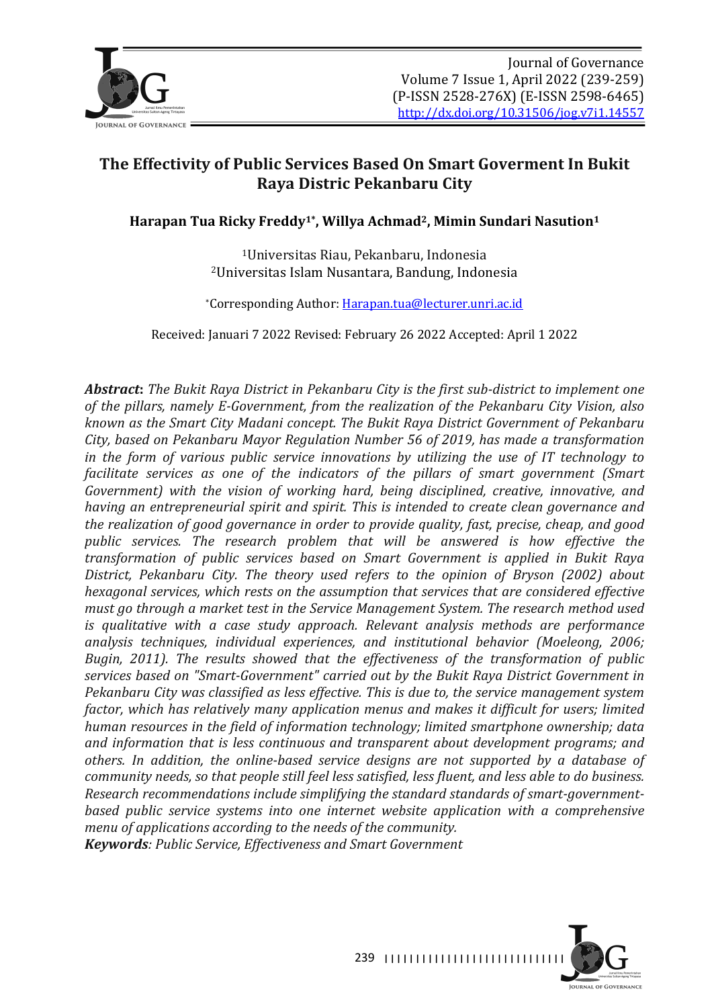

# **The Effectivity of Public Services Based On Smart Goverment In Bukit Raya Distric Pekanbaru City**

Harapan Tua Ricky Freddy<sup>1\*</sup>, Willya Achmad<sup>2</sup>, Mimin Sundari Nasution<sup>1</sup>

<sup>1</sup>Universitas Riau, Pekanbaru, Indonesia <sup>2</sup>Universitas Islam Nusantara, Bandung, Indonesia

\*Corresponding Author: Harapan.tua@lecturer.unri.ac.id

Received: Januari 7 2022 Revised: February 26 2022 Accepted: April 1 2022

**Abstract:** The Bukit Raya District in Pekanbaru City is the first sub-district to implement one of the pillars, namely E-Government, from the realization of the Pekanbaru City Vision, also *known* as the Smart City Madani concept. The Bukit Raya District Government of Pekanbaru *City, based on Pekanbaru Mayor Regulation Number 56 of 2019, has made a transformation in* the form of various public service innovations by utilizing the use of IT technology to *facilitate services as one of the indicators of the pillars of smart government (Smart Government)* with the vision of working hard, being disciplined, creative, innovative, and *having an entrepreneurial spirit and spirit. This is intended to create clean governance and the realization of good governance in order to provide quality, fast, precise, cheap, and good public services. The research problem that will be answered is how effective the transformation of public services based on Smart Government is applied in Bukit Raya* District, Pekanbaru City. The theory used refers to the opinion of Bryson (2002) about *hexagonal services, which rests on the assumption that services that are considered effective must go through a market test in the Service Management System. The research method used is* qualitative with a case study approach. Relevant analysis methods are performance analysis techniques, individual experiences, and institutional behavior (Moeleong, 2006; *Bugin, 2011).* The results showed that the effectiveness of the transformation of public services based on "Smart-Government" carried out by the Bukit Raya District Government in *Pekanbaru City was classified as less effective. This is due to, the service management system factor, which has relatively many application menus and makes it difficult for users; limited human resources in the field of information technology; limited smartphone ownership; data* and information *that is less continuous and transparent about development programs; and* others. In addition, the online-based service designs are not supported by a database of *community needs, so that people still feel less satisfied, less fluent, and less able to do business.* Research recommendations include simplifying the standard standards of smart-government*based public service systems into one internet website application with a comprehensive menu of applications according to the needs of the community.* 

*Keywords: Public Service, Effectiveness and Smart Government*

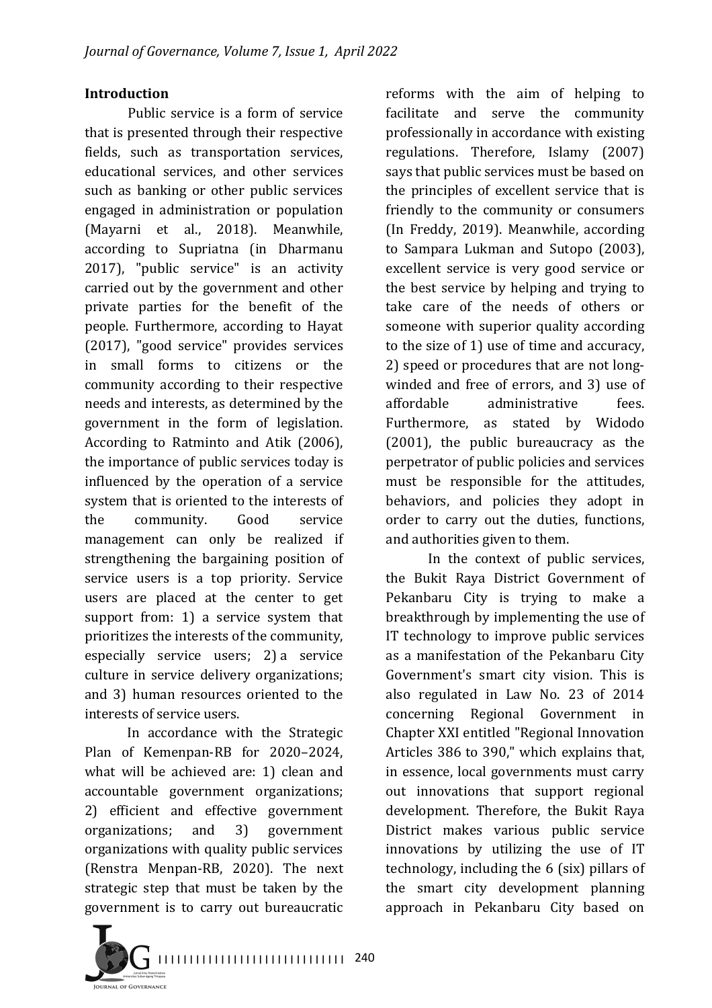#### **Introduction**

Public service is a form of service that is presented through their respective fields, such as transportation services, educational services, and other services such as banking or other public services engaged in administration or population (Mayarni et al., 2018). Meanwhile, according to Supriatna (in Dharmanu 2017), "public service" is an activity carried out by the government and other private parties for the benefit of the people. Furthermore, according to Hayat (2017), "good service" provides services in small forms to citizens or the community according to their respective needs and interests, as determined by the government in the form of legislation. According to Ratminto and Atik (2006), the importance of public services today is influenced by the operation of a service system that is oriented to the interests of the community. Good service management can only be realized if strengthening the bargaining position of service users is a top priority. Service users are placed at the center to get support from: 1) a service system that prioritizes the interests of the community, especially service users; 2) a service culture in service delivery organizations; and 3) human resources oriented to the interests of service users.

In accordance with the Strategic Plan of Kemenpan-RB for 2020-2024, what will be achieved are: 1) clean and accountable government organizations; 2) efficient and effective government organizations; and 3) government organizations with quality public services (Renstra Menpan-RB, 2020). The next strategic step that must be taken by the government is to carry out bureaucratic

reforms with the aim of helping to facilitate and serve the community professionally in accordance with existing regulations. Therefore, Islamy (2007) says that public services must be based on the principles of excellent service that is friendly to the community or consumers (In Freddy, 2019). Meanwhile, according to Sampara Lukman and Sutopo (2003), excellent service is very good service or the best service by helping and trying to take care of the needs of others or someone with superior quality according to the size of 1) use of time and accuracy, 2) speed or procedures that are not longwinded and free of errors, and 3) use of affordable administrative fees. Furthermore, as stated by Widodo  $(2001)$ , the public bureaucracy as the perpetrator of public policies and services must be responsible for the attitudes, behaviors, and policies they adopt in order to carry out the duties, functions, and authorities given to them.

In the context of public services, the Bukit Raya District Government of Pekanbaru City is trying to make a breakthrough by implementing the use of IT technology to improve public services as a manifestation of the Pekanbaru City Government's smart city vision. This is also regulated in Law No. 23 of 2014 concerning Regional Government in Chapter XXI entitled "Regional Innovation Articles 386 to 390," which explains that, in essence, local governments must carry out innovations that support regional development. Therefore, the Bukit Raya District makes various public service innovations by utilizing the use of IT technology, including the  $6$  (six) pillars of the smart city development planning approach in Pekanbaru City based on

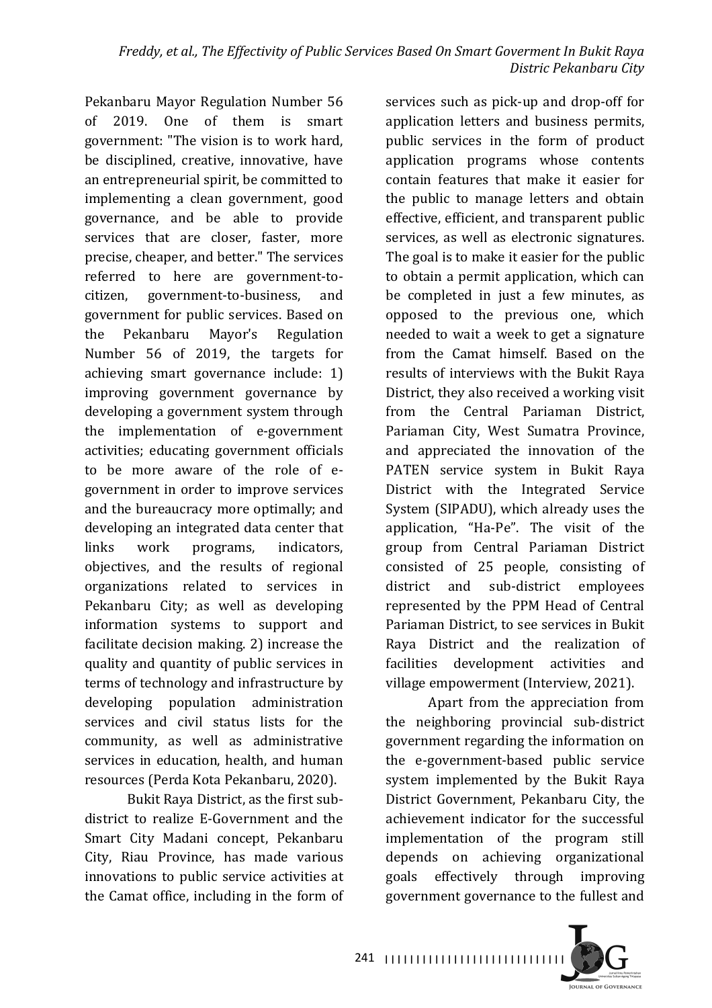Pekanbaru Mayor Regulation Number 56 of 2019. One of them is smart government: "The vision is to work hard, be disciplined, creative, innovative, have an entrepreneurial spirit, be committed to implementing a clean government, good governance, and be able to provide services that are closer, faster, more precise, cheaper, and better." The services referred to here are government-tocitizen, government-to-business, and government for public services. Based on the Pekanbaru Mayor's Regulation Number 56 of 2019, the targets for achieving smart governance include: 1) improving government governance by developing a government system through the implementation of e-government activities; educating government officials to be more aware of the role of egovernment in order to improve services and the bureaucracy more optimally; and developing an integrated data center that links work programs, indicators, objectives, and the results of regional organizations related to services in Pekanbaru City; as well as developing information systems to support and facilitate decision making. 2) increase the quality and quantity of public services in terms of technology and infrastructure by developing population administration services and civil status lists for the community, as well as administrative services in education, health, and human resources (Perda Kota Pekanbaru, 2020).

Bukit Raya District, as the first subdistrict to realize E-Government and the Smart City Madani concept, Pekanbaru City, Riau Province, has made various innovations to public service activities at the Camat office, including in the form of

services such as pick-up and drop-off for application letters and business permits, public services in the form of product application programs whose contents contain features that make it easier for the public to manage letters and obtain effective, efficient, and transparent public services, as well as electronic signatures. The goal is to make it easier for the public to obtain a permit application, which can be completed in just a few minutes, as opposed to the previous one, which needed to wait a week to get a signature from the Camat himself. Based on the results of interviews with the Bukit Raya District, they also received a working visit from the Central Pariaman District, Pariaman City, West Sumatra Province, and appreciated the innovation of the PATEN service system in Bukit Raya District with the Integrated Service System (SIPADU), which already uses the application, "Ha-Pe". The visit of the group from Central Pariaman District consisted of 25 people, consisting of district and sub-district employees represented by the PPM Head of Central Pariaman District, to see services in Bukit Raya District and the realization of facilities development activities and village empowerment (Interview, 2021).

Apart from the appreciation from the neighboring provincial sub-district government regarding the information on the e-government-based public service system implemented by the Bukit Raya District Government, Pekanbaru City, the achievement indicator for the successful implementation of the program still depends on achieving organizational goals effectively through improving government governance to the fullest and

241 |||||||||||||||||||||||||||||||

**IQUENAL OF GOVERNANCE**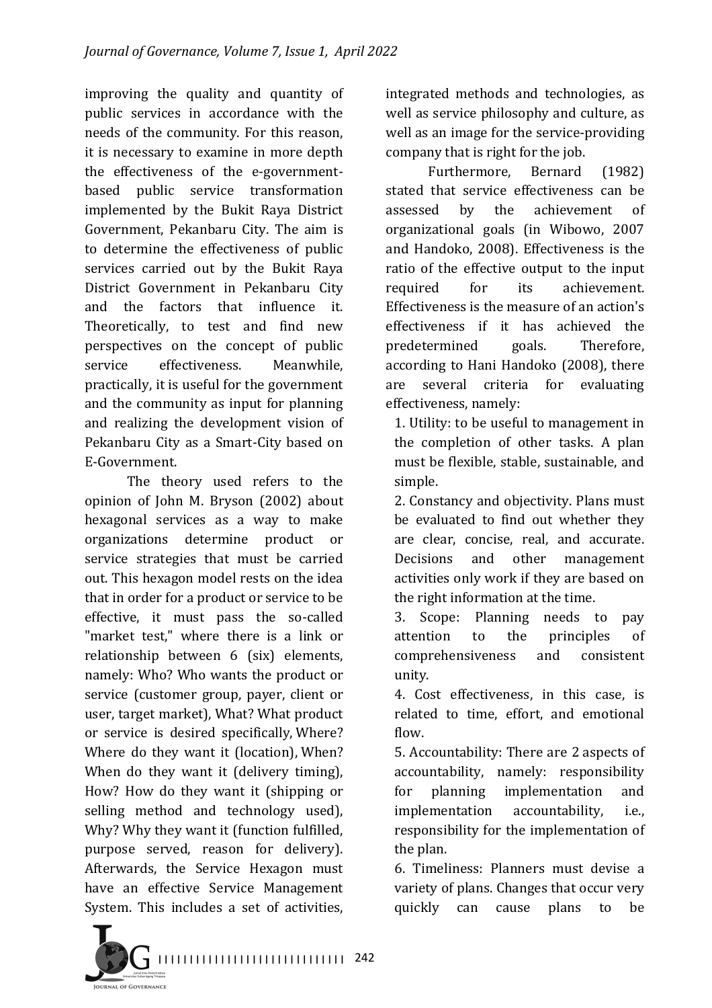improving the quality and quantity of public services in accordance with the needs of the community. For this reason, it is necessary to examine in more depth the effectiveness of the e-governmentbased public service transformation implemented by the Bukit Raya District Government, Pekanbaru City. The aim is to determine the effectiveness of public services carried out by the Bukit Raya District Government in Pekanbaru City and the factors that influence it. Theoretically, to test and find new perspectives on the concept of public service effectiveness. Meanwhile, practically, it is useful for the government and the community as input for planning and realizing the development vision of Pekanbaru City as a Smart-City based on E-Government.

The theory used refers to the opinion of John M. Bryson (2002) about hexagonal services as a way to make organizations determine product or service strategies that must be carried out. This hexagon model rests on the idea that in order for a product or service to be effective, it must pass the so-called "market test," where there is a link or relationship between 6 (six) elements, namely: Who? Who wants the product or service (customer group, payer, client or user, target market), What? What product or service is desired specifically, Where? Where do they want it (location), When? When do they want it (delivery timing), How? How do they want it (shipping or selling method and technology used), Why? Why they want it (function fulfilled, purpose served, reason for delivery). Afterwards, the Service Hexagon must have an effective Service Management System. This includes a set of activities,

integrated methods and technologies, as well as service philosophy and culture, as well as an image for the service-providing company that is right for the job.

Furthermore, Bernard (1982) stated that service effectiveness can be assessed by the achievement of organizational goals (in Wibowo, 2007 and Handoko, 2008). Effectiveness is the ratio of the effective output to the input required for its achievement. Effectiveness is the measure of an action's effectiveness if it has achieved the predetermined goals. Therefore, according to Hani Handoko (2008), there are several criteria for evaluating effectiveness, namely:

1. Utility: to be useful to management in the completion of other tasks. A plan must be flexible, stable, sustainable, and simple.

2. Constancy and objectivity. Plans must be evaluated to find out whether they are clear. concise, real, and accurate. Decisions and other management activities only work if they are based on the right information at the time.

3. Scope: Planning needs to pay attention to the principles of comprehensiveness and consistent unity.

4. Cost effectiveness, in this case, is related to time, effort, and emotional flow.

5. Accountability: There are 2 aspects of accountability, namely: responsibility for planning implementation and implementation accountability, i.e., responsibility for the implementation of the plan.

6. Timeliness: Planners must devise a variety of plans. Changes that occur very quickly can cause plans to be

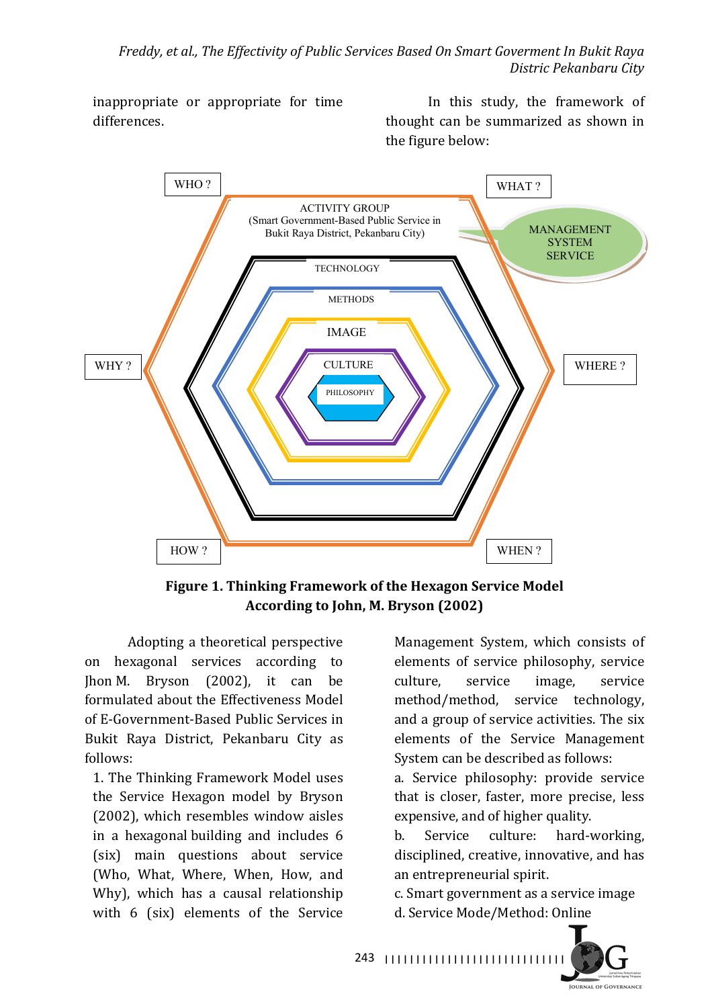inappropriate or appropriate for time differences.

In this study, the framework of thought can be summarized as shown in the figure below:



Figure 1. Thinking Framework of the Hexagon Service Model According to John, M. Bryson (2002)

Adopting a theoretical perspective on hexagonal services according to Jhon M. Bryson  $(2002)$ , it can be formulated about the Effectiveness Model of E-Government-Based Public Services in Bukit Raya District, Pekanbaru City as follows:

1. The Thinking Framework Model uses the Service Hexagon model by Bryson (2002), which resembles window aisles in a hexagonal building and includes 6 (six) main questions about service (Who, What, Where, When, How, and Why), which has a causal relationship with  $6$  (six) elements of the Service

Management System, which consists of elements of service philosophy, service culture, service image, service method/method, service technology, and a group of service activities. The six elements of the Service Management System can be described as follows:

a. Service philosophy: provide service that is closer, faster, more precise, less expensive, and of higher quality.

b. Service culture: hard-working. disciplined, creative, innovative, and has an entrepreneurial spirit.

c. Smart government as a service image d. Service Mode/Method: Online



243 ||||||||||||||||||||||||||||||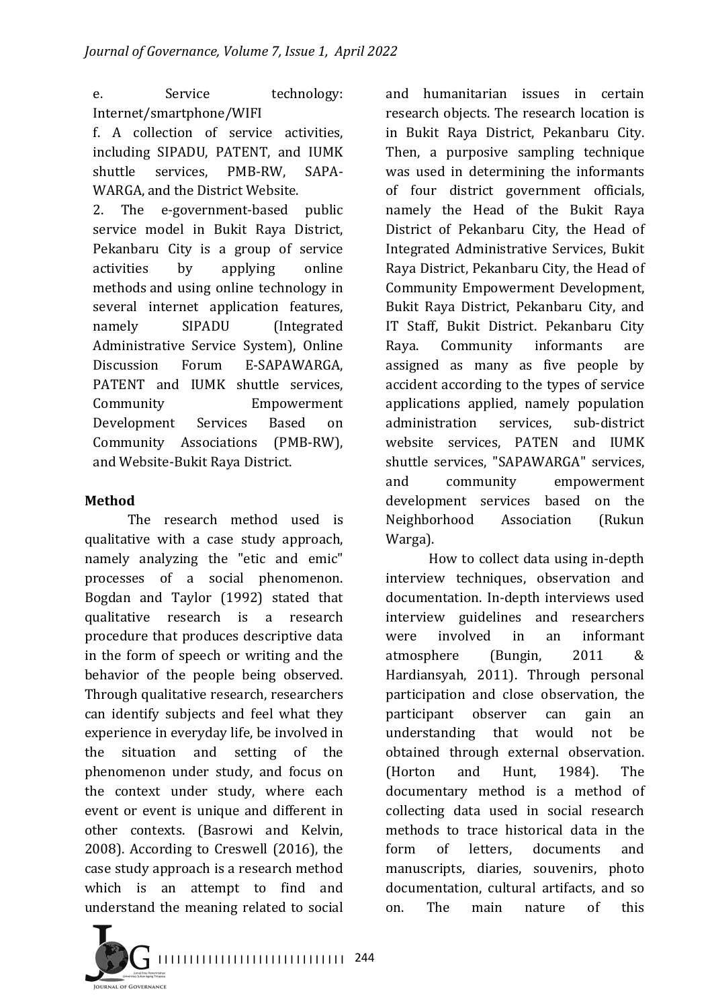e. Service technology: Internet/smartphone/WIFI

f. A collection of service activities, including SIPADU, PATENT, and IUMK shuttle services, PMB-RW, SAPA-WARGA, and the District Website.

2. The e-government-based public service model in Bukit Raya District, Pekanbaru City is a group of service activities by applying online methods and using online technology in several internet application features, namely SIPADU (Integrated Administrative Service System), Online Discussion Forum E-SAPAWARGA. PATENT and IUMK shuttle services, Community **Empowerment** Development Services Based on Community Associations (PMB-RW), and Website-Bukit Raya District.

## **Method**

The research method used is qualitative with a case study approach, namely analyzing the "etic and emic" processes of a social phenomenon. Bogdan and Taylor (1992) stated that qualitative research is a research procedure that produces descriptive data in the form of speech or writing and the behavior of the people being observed. Through qualitative research, researchers can identify subjects and feel what they experience in everyday life, be involved in the situation and setting of the phenomenon under study, and focus on the context under study, where each event or event is unique and different in other contexts. (Basrowi and Kelvin, 2008). According to Creswell (2016), the case study approach is a research method which is an attempt to find and understand the meaning related to social

and humanitarian issues in certain research objects. The research location is in Bukit Raya District, Pekanbaru City. Then, a purposive sampling technique was used in determining the informants of four district government officials, namely the Head of the Bukit Raya District of Pekanbaru City, the Head of Integrated Administrative Services, Bukit Raya District, Pekanbaru City, the Head of Community Empowerment Development, Bukit Raya District, Pekanbaru City, and IT Staff, Bukit District. Pekanbaru City Raya. Community informants are assigned as many as five people by accident according to the types of service applications applied, namely population administration services, sub-district website services. PATEN and IUMK shuttle services, "SAPAWARGA" services, and community empowerment development services based on the Neighborhood Association (Rukun Warga).

How to collect data using in-depth interview techniques, observation and documentation. In-depth interviews used interview guidelines and researchers were involved in an informant atmosphere (Bungin, 2011 & Hardiansyah, 2011). Through personal participation and close observation, the participant observer can gain an understanding that would not be obtained through external observation. (Horton and Hunt. 1984). The documentary method is a method of collecting data used in social research methods to trace historical data in the form of letters, documents and manuscripts, diaries, souvenirs, photo documentation, cultural artifacts, and so on. The main nature of this

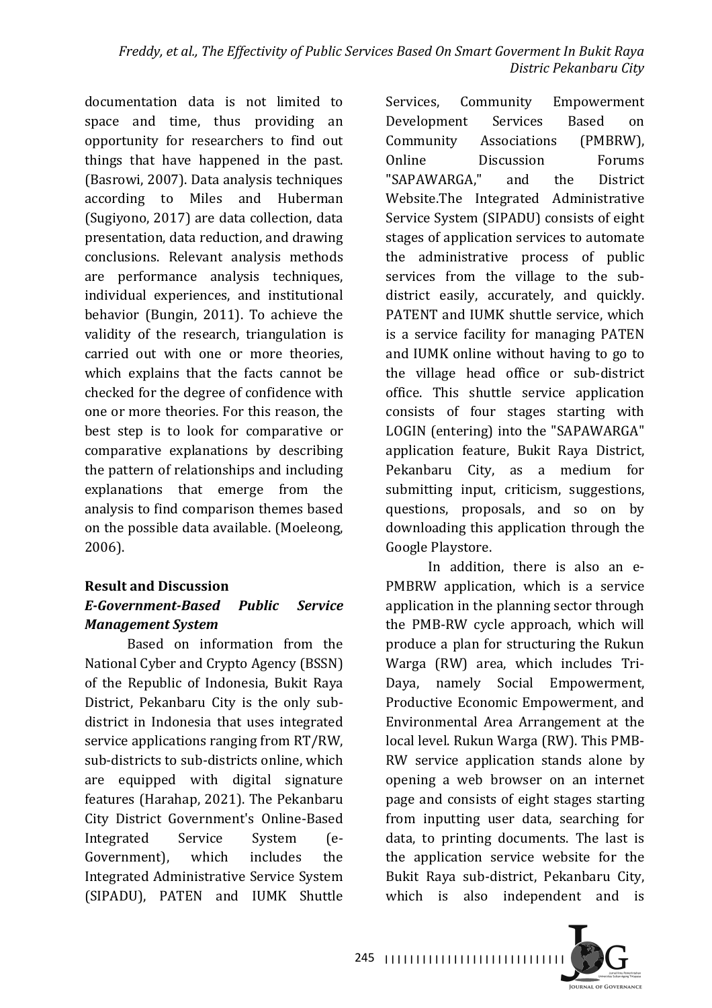documentation data is not limited to space and time, thus providing an opportunity for researchers to find out things that have happened in the past. (Basrowi, 2007). Data analysis techniques according to Miles and Huberman (Sugiyono, 2017) are data collection, data presentation, data reduction, and drawing conclusions. Relevant analysis methods are performance analysis techniques, individual experiences, and institutional behavior (Bungin, 2011). To achieve the validity of the research, triangulation is carried out with one or more theories. which explains that the facts cannot be checked for the degree of confidence with one or more theories. For this reason, the best step is to look for comparative or comparative explanations by describing the pattern of relationships and including explanations that emerge from the analysis to find comparison themes based on the possible data available. (Moeleong, 2006).

#### **Result and Discussion** *E-Government-Based Public Service Management System*

Based on information from the National Cyber and Crypto Agency (BSSN) of the Republic of Indonesia, Bukit Raya District, Pekanbaru City is the only subdistrict in Indonesia that uses integrated service applications ranging from RT/RW, sub-districts to sub-districts online, which are equipped with digital signature features (Harahap, 2021). The Pekanbaru City District Government's Online-Based Integrated Service System (e-Government), which includes the Integrated Administrative Service System (SIPADU), PATEN and IUMK Shuttle Services, Community Empowerment Development Services Based on Community Associations (PMBRW), Online Discussion Forums "SAPAWARGA," and the District Website.The Integrated Administrative Service System (SIPADU) consists of eight stages of application services to automate the administrative process of public services from the village to the subdistrict easily, accurately, and quickly. PATENT and IUMK shuttle service, which is a service facility for managing PATEN and IUMK online without having to go to the village head office or sub-district office. This shuttle service application consists of four stages starting with LOGIN (entering) into the "SAPAWARGA" application feature, Bukit Raya District, Pekanbaru City, as a medium for submitting input, criticism, suggestions, questions, proposals, and so on by downloading this application through the Google Playstore.

In addition, there is also an e-PMBRW application, which is a service application in the planning sector through the PMB-RW cycle approach, which will produce a plan for structuring the Rukun Warga (RW) area, which includes Tri-Daya, namely Social Empowerment, Productive Economic Empowerment, and Environmental Area Arrangement at the local level. Rukun Warga (RW). This PMB-RW service application stands alone by opening a web browser on an internet page and consists of eight stages starting from inputting user data, searching for data, to printing documents. The last is the application service website for the Bukit Raya sub-district, Pekanbaru City, which is also independent and is

245 |||||||||||||||||||||||||||||||

**JOURNAL OF GOVERNANCE**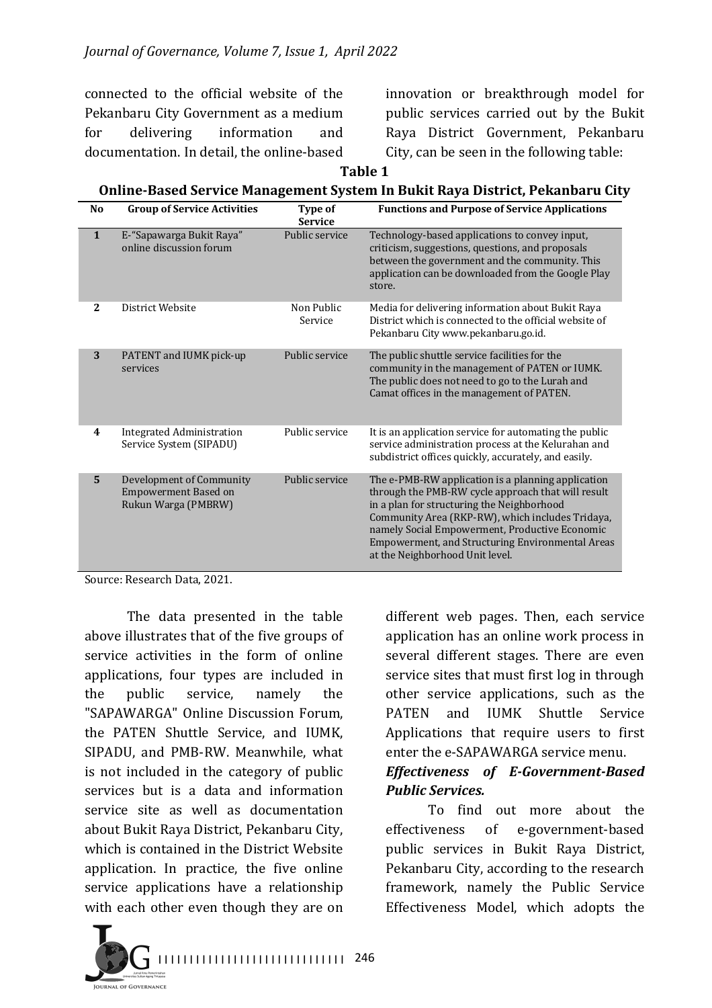connected to the official website of the Pekanbaru City Government as a medium for delivering information and documentation. In detail, the online-based

innovation or breakthrough model for public services carried out by the Bukit Raya District Government, Pekanbaru City, can be seen in the following table:

**Table 1** 

#### **Online-Based Service Management System In Bukit Raya District, Pekanbaru City**

| N <sub>o</sub> | <b>Group of Service Activities</b>                                      | Type of<br><b>Service</b> | <b>Functions and Purpose of Service Applications</b>                                                                                                                                                                                                                                                                                                       |
|----------------|-------------------------------------------------------------------------|---------------------------|------------------------------------------------------------------------------------------------------------------------------------------------------------------------------------------------------------------------------------------------------------------------------------------------------------------------------------------------------------|
| $\mathbf{1}$   | E-"Sapawarga Bukit Raya"<br>online discussion forum                     | Public service            | Technology-based applications to convey input,<br>criticism, suggestions, questions, and proposals<br>between the government and the community. This<br>application can be downloaded from the Google Play<br>store.                                                                                                                                       |
| $\mathbf{2}$   | District Website                                                        | Non Public<br>Service     | Media for delivering information about Bukit Raya<br>District which is connected to the official website of<br>Pekanbaru City www.pekanbaru.go.id.                                                                                                                                                                                                         |
| 3              | PATENT and IUMK pick-up<br>services                                     | Public service            | The public shuttle service facilities for the<br>community in the management of PATEN or IUMK.<br>The public does not need to go to the Lurah and<br>Camat offices in the management of PATEN.                                                                                                                                                             |
| 4              | <b>Integrated Administration</b><br>Service System (SIPADU)             | Public service            | It is an application service for automating the public<br>service administration process at the Kelurahan and<br>subdistrict offices quickly, accurately, and easily.                                                                                                                                                                                      |
| 5              | Development of Community<br>Empowerment Based on<br>Rukun Warga (PMBRW) | Public service            | The e-PMB-RW application is a planning application<br>through the PMB-RW cycle approach that will result<br>in a plan for structuring the Neighborhood<br>Community Area (RKP-RW), which includes Tridaya,<br>namely Social Empowerment, Productive Economic<br><b>Empowerment, and Structuring Environmental Areas</b><br>at the Neighborhood Unit level. |

Source: Research Data, 2021.

**JURNAL OF GOVERNANCE** 

The data presented in the table above illustrates that of the five groups of service activities in the form of online applications, four types are included in the public service, namely the "SAPAWARGA" Online Discussion Forum, the PATEN Shuttle Service, and IUMK, SIPADU, and PMB-RW. Meanwhile, what is not included in the category of public services but is a data and information service site as well as documentation about Bukit Raya District, Pekanbaru City, which is contained in the District Website application. In practice, the five online service applications have a relationship with each other even though they are on

different web pages. Then, each service application has an online work process in several different stages. There are even service sites that must first log in through other service applications, such as the PATEN and IUMK Shuttle Service Applications that require users to first enter the e-SAPAWARGA service menu. *Effectiveness of E-Government-Based* 

# *Public Services.*

To find out more about the effectiveness of e-government-based public services in Bukit Raya District, Pekanbaru City, according to the research framework, namely the Public Service Effectiveness Model, which adopts the

I I I I I I I I I I I I I I I I I I I I I I I I I I I I I I 246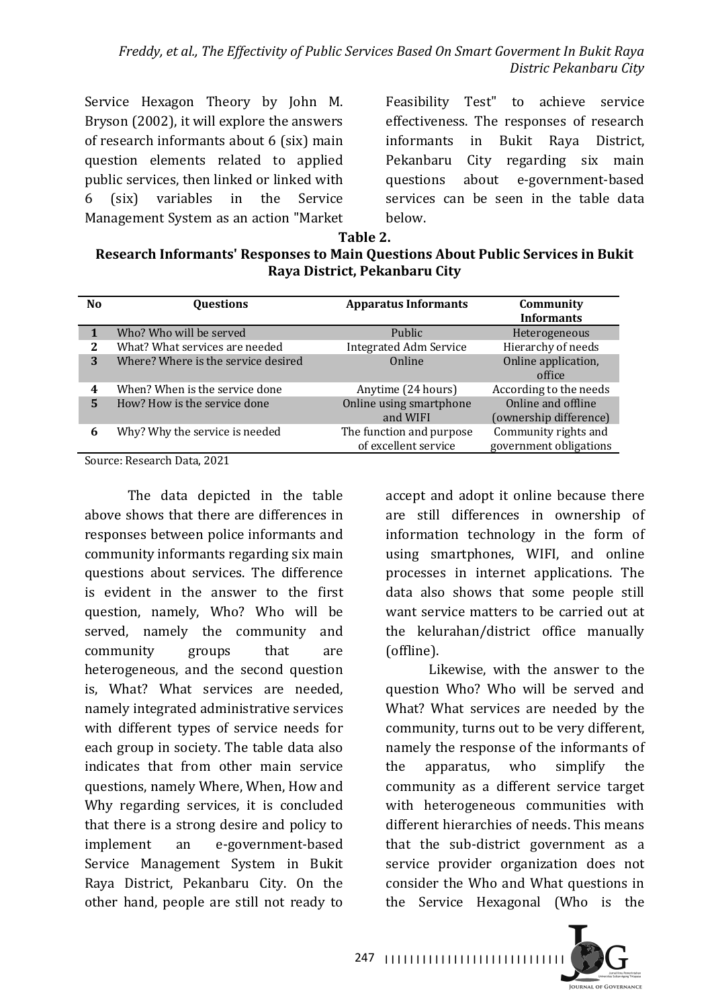Service Hexagon Theory by John M. Bryson (2002), it will explore the answers of research informants about  $6$  (six) main question elements related to applied public services, then linked or linked with 6 (six) variables in the Service Management System as an action "Market"

Feasibility Test" to achieve service effectiveness. The responses of research informants in Bukit Raya District, Pekanbaru City regarding six main questions about e-government-based services can be seen in the table data below.

#### **Table 2.**

#### **Research Informants' Responses to Main Questions About Public Services in Bukit Raya District, Pekanbaru City**

| N <sub>0</sub> | <b>Questions</b>                    | <b>Apparatus Informants</b>   | Community<br><b>Informants</b> |
|----------------|-------------------------------------|-------------------------------|--------------------------------|
|                | Who? Who will be served             | Public                        | Heterogeneous                  |
| 2              | What? What services are needed      | <b>Integrated Adm Service</b> | Hierarchy of needs             |
| 3              | Where? Where is the service desired | Online                        | Online application,            |
|                |                                     |                               | office                         |
| 4              | When? When is the service done      | Anytime (24 hours)            | According to the needs         |
| 5              | How? How is the service done        | Online using smartphone       | Online and offline             |
|                |                                     | and WIFI                      | (ownership difference)         |
| 6              | Why? Why the service is needed      | The function and purpose      | Community rights and           |
|                |                                     | of excellent service          | government obligations         |

Source: Research Data, 2021

The data depicted in the table above shows that there are differences in responses between police informants and community informants regarding six main questions about services. The difference is evident in the answer to the first question, namely, Who? Who will be served, namely the community and community groups that are heterogeneous, and the second question is. What? What services are needed, namely integrated administrative services with different types of service needs for each group in society. The table data also indicates that from other main service questions, namely Where, When, How and Why regarding services, it is concluded that there is a strong desire and policy to implement an e-government-based Service Management System in Bukit Raya District, Pekanbaru City. On the other hand, people are still not ready to

accept and adopt it online because there are still differences in ownership of information technology in the form of using smartphones, WIFI, and online processes in internet applications. The data also shows that some people still want service matters to be carried out at the kelurahan/district office manually (offline).

Likewise, with the answer to the question Who? Who will be served and What? What services are needed by the community, turns out to be very different. namely the response of the informants of the apparatus, who simplify the community as a different service target with heterogeneous communities with different hierarchies of needs. This means that the sub-district government as a service provider organization does not consider the Who and What questions in the Service Hexagonal (Who is the

**JOURNAL OF GOVERNANCE** 

247 |||||||||||||||||||||||||||||||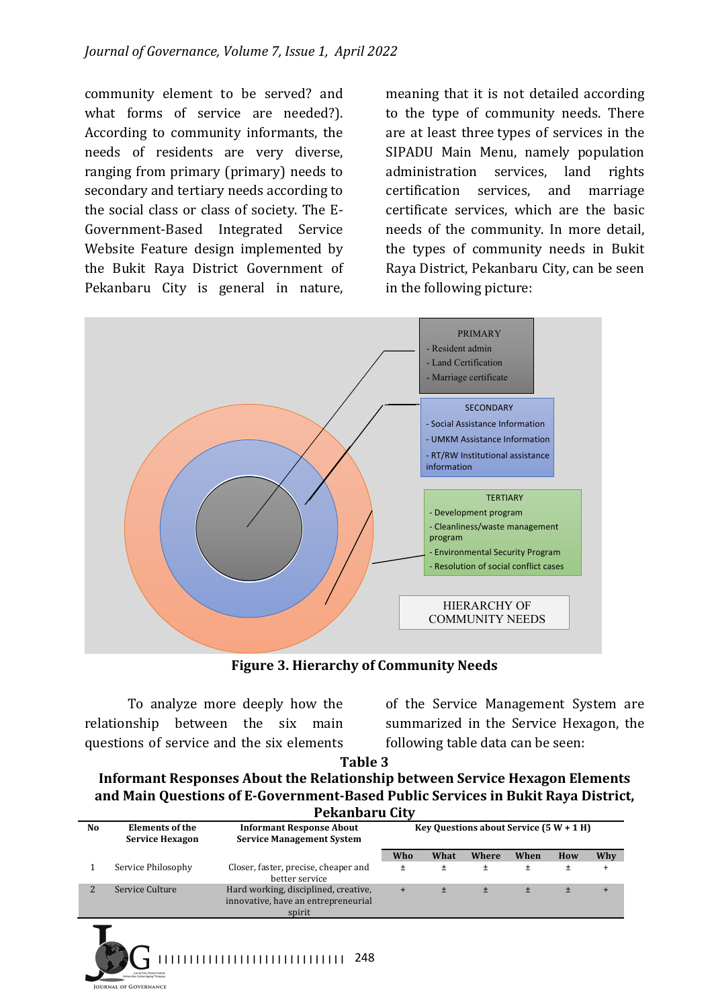community element to be served? and what forms of service are needed?). According to community informants, the needs of residents are very diverse, ranging from primary (primary) needs to secondary and tertiary needs according to the social class or class of society. The E-Government-Based Integrated Service Website Feature design implemented by the Bukit Raya District Government of Pekanbaru City is general in nature,

meaning that it is not detailed according to the type of community needs. There are at least three types of services in the SIPADU Main Menu, namely population administration services, land rights certification services, and marriage certificate services, which are the basic needs of the community. In more detail, the types of community needs in Bukit Raya District, Pekanbaru City, can be seen in the following picture:



**Figure 3. Hierarchy of Community Needs** 

To analyze more deeply how the relationship between the six main questions of service and the six elements

of the Service Management System are summarized in the Service Hexagon, the following table data can be seen:

**Table 3**

**Informant Responses About the Relationship between Service Hexagon Elements** and Main Questions of E-Government-Based Public Services in Bukit Raya District, **Pekanbaru City**

|    | .                                                |                                                                                       |                                           |       |       |       |     |     |
|----|--------------------------------------------------|---------------------------------------------------------------------------------------|-------------------------------------------|-------|-------|-------|-----|-----|
| No | <b>Elements of the</b><br><b>Service Hexagon</b> | <b>Informant Response About</b><br><b>Service Management System</b>                   | Key Questions about Service $(5 W + 1 H)$ |       |       |       |     |     |
|    |                                                  |                                                                                       | Who                                       | What  | Where | When  | How | Why |
|    | Service Philosophy                               | Closer, faster, precise, cheaper and<br>better service                                | Ŧ                                         | $\pm$ | Ŧ     | Ŧ     | ±   |     |
|    | Service Culture                                  | Hard working, disciplined, creative,<br>innovative, have an entrepreneurial<br>spirit | $\ddot{}$                                 |       | $\pm$ | $\pm$ | 士   |     |
|    |                                                  |                                                                                       |                                           |       |       |       |     |     |

I I I I I I I I I I I I I I I I I I I I I I I I I I I I I I 248

**JURNAL OF GOVERNANCE**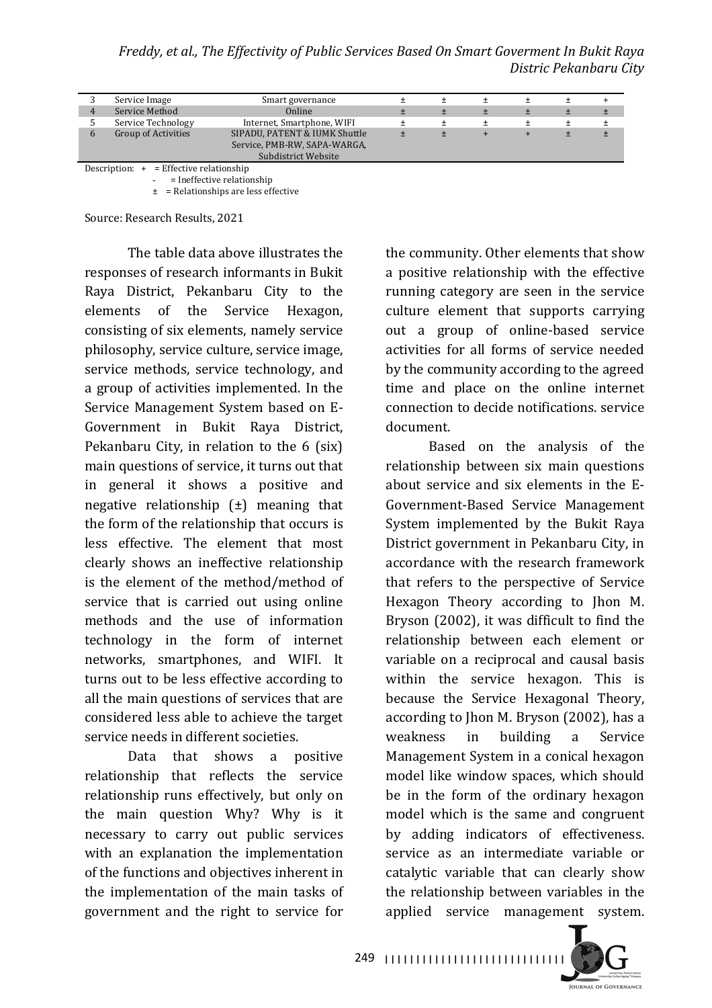*Freddy, et al., The Effectivity of Public Services Based On Smart Goverment In Bukit Raya Distric Pekanbaru City*

|                                                  | Service Image                             | Smart governance              |  |  |  |  |  |  |
|--------------------------------------------------|-------------------------------------------|-------------------------------|--|--|--|--|--|--|
|                                                  | Service Method<br>Online                  |                               |  |  |  |  |  |  |
| Service Technology<br>Internet, Smartphone, WIFI |                                           |                               |  |  |  |  |  |  |
|                                                  | <b>Group of Activities</b>                | SIPADU, PATENT & IUMK Shuttle |  |  |  |  |  |  |
| Service, PMB-RW, SAPA-WARGA,                     |                                           |                               |  |  |  |  |  |  |
|                                                  |                                           | Subdistrict Website           |  |  |  |  |  |  |
|                                                  | Description: $+$ = Effective relationship |                               |  |  |  |  |  |  |

- = Ineffective relationship

 $\pm$  = Relationships are less effective

Source: Research Results, 2021

The table data above illustrates the responses of research informants in Bukit Raya District, Pekanbaru City to the elements of the Service Hexagon, consisting of six elements, namely service philosophy, service culture, service image, service methods, service technology, and a group of activities implemented. In the Service Management System based on E-Government in Bukit Raya District, Pekanbaru City, in relation to the  $6$  (six) main questions of service, it turns out that in general it shows a positive and negative relationship  $(\pm)$  meaning that the form of the relationship that occurs is less effective. The element that most clearly shows an ineffective relationship is the element of the method/method of service that is carried out using online methods and the use of information technology in the form of internet networks, smartphones, and WIFI. It turns out to be less effective according to all the main questions of services that are considered less able to achieve the target service needs in different societies.

Data that shows a positive relationship that reflects the service relationship runs effectively, but only on the main question Why? Why is it necessary to carry out public services with an explanation the implementation of the functions and objectives inherent in the implementation of the main tasks of government and the right to service for

the community. Other elements that show a positive relationship with the effective running category are seen in the service culture element that supports carrying out a group of online-based service activities for all forms of service needed by the community according to the agreed time and place on the online internet connection to decide notifications, service document.

Based on the analysis of the relationship between six main questions about service and six elements in the  $E$ -Government-Based Service Management System implemented by the Bukit Raya District government in Pekanbaru City, in accordance with the research framework that refers to the perspective of Service Hexagon Theory according to Jhon M. Bryson  $(2002)$ , it was difficult to find the relationship between each element or variable on a reciprocal and causal basis within the service hexagon. This is because the Service Hexagonal Theory, according to Jhon M. Bryson (2002), has a weakness in building a Service Management System in a conical hexagon model like window spaces, which should be in the form of the ordinary hexagon model which is the same and congruent by adding indicators of effectiveness. service as an intermediate variable or catalytic variable that can clearly show the relationship between variables in the applied service management system.

**JOURNAL OF GOVERNANCE** 

249 |||||||||||||||||||||||||||||||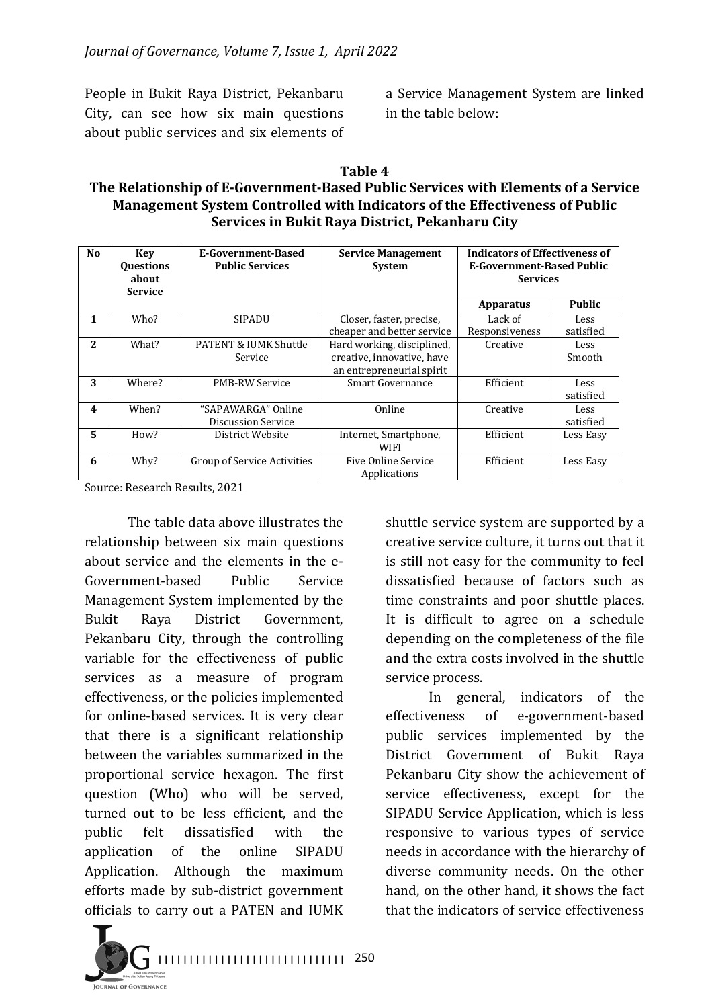People in Bukit Raya District, Pekanbaru City, can see how six main questions about public services and six elements of

a Service Management System are linked in the table below:

**Table 4**

#### The Relationship of E-Government-Based Public Services with Elements of a Service **Management System Controlled with Indicators of the Effectiveness of Public Services in Bukit Raya District, Pekanbaru City**

| N <sub>0</sub> | Key<br><b>Questions</b> | E-Government-Based<br><b>Public Services</b> | <b>Service Management</b><br><b>System</b> | <b>Indicators of Effectiveness of</b><br>E-Government-Based Public |               |
|----------------|-------------------------|----------------------------------------------|--------------------------------------------|--------------------------------------------------------------------|---------------|
|                | about                   |                                              |                                            | <b>Services</b>                                                    |               |
|                | <b>Service</b>          |                                              |                                            |                                                                    |               |
|                |                         |                                              |                                            | <b>Apparatus</b>                                                   | <b>Public</b> |
| 1              | Who?                    | <b>SIPADU</b>                                | Closer, faster, precise,                   | Lack of                                                            | Less          |
|                |                         |                                              | cheaper and better service                 | Responsiveness                                                     | satisfied     |
| $\mathbf{2}$   | What?                   | PATENT & IUMK Shuttle                        | Hard working, disciplined,                 | Creative                                                           | Less          |
|                |                         | Service                                      | creative, innovative, have                 |                                                                    | Smooth        |
|                |                         |                                              | an entrepreneurial spirit                  |                                                                    |               |
| 3              | Where?                  | <b>PMB-RW Service</b>                        | Smart Governance                           | Efficient                                                          | Less          |
|                |                         |                                              |                                            |                                                                    | satisfied     |
| 4              | When?                   | "SAPAWARGA" Online                           | Online                                     | Creative                                                           | Less.         |
|                |                         | Discussion Service                           |                                            |                                                                    | satisfied     |
| 5              | How?                    | District Website                             | Internet, Smartphone,                      | Efficient                                                          | Less Easy     |
|                |                         |                                              | WIFI                                       |                                                                    |               |
| 6              | Why?                    | Group of Service Activities                  | Five Online Service                        | Efficient                                                          | Less Easy     |
|                |                         |                                              | Applications                               |                                                                    |               |

Source: Research Results, 2021

The table data above illustrates the relationship between six main questions about service and the elements in the e-Government-based Public Service Management System implemented by the Bukit Raya District Government, Pekanbaru City, through the controlling variable for the effectiveness of public services as a measure of program effectiveness, or the policies implemented for online-based services. It is very clear that there is a significant relationship between the variables summarized in the proportional service hexagon. The first question (Who) who will be served, turned out to be less efficient, and the public felt dissatisfied with the application of the online SIPADU Application. Although the maximum efforts made by sub-district government officials to carry out a PATEN and IUMK

shuttle service system are supported by a creative service culture, it turns out that it is still not easy for the community to feel dissatisfied because of factors such as time constraints and poor shuttle places. It is difficult to agree on a schedule depending on the completeness of the file and the extra costs involved in the shuttle service process.

In general, indicators of the effectiveness of e-government-based public services implemented by the District Government of Bukit Raya Pekanbaru City show the achievement of service effectiveness, except for the SIPADU Service Application, which is less responsive to various types of service needs in accordance with the hierarchy of diverse community needs. On the other hand, on the other hand, it shows the fact that the indicators of service effectiveness



I I I I I I I I I I I I I I I I I I I I I I I I I I I I I I 250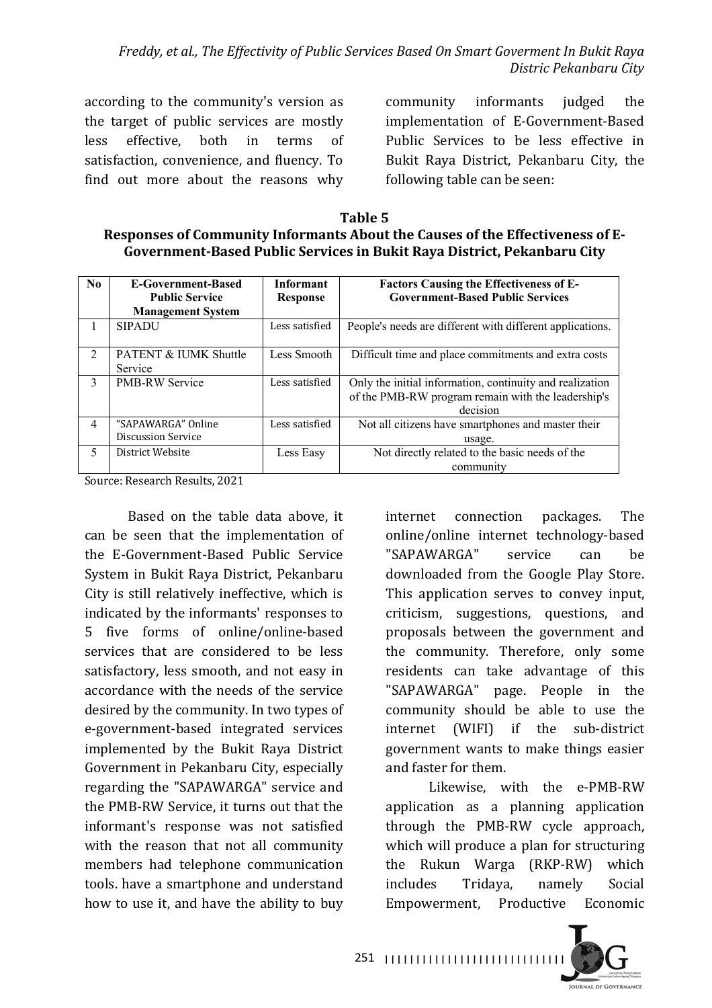according to the community's version as the target of public services are mostly less effective, both in terms of satisfaction, convenience, and fluency. To find out more about the reasons why

community informants judged the implementation of E-Government-Based Public Services to be less effective in Bukit Raya District, Pekanbaru City, the following table can be seen:

**Table 5** Responses of Community Informants About the Causes of the Effectiveness of E-Government-Based Public Services in Bukit Raya District, Pekanbaru City

| $\mathbf{N}\mathbf{0}$ | <b>E-Government-Based</b>        | <b>Informant</b> | <b>Factors Causing the Effectiveness of E-</b>            |
|------------------------|----------------------------------|------------------|-----------------------------------------------------------|
|                        | <b>Public Service</b>            | <b>Response</b>  | <b>Government-Based Public Services</b>                   |
|                        | <b>Management System</b>         |                  |                                                           |
|                        | <b>SIPADU</b>                    | Less satisfied   | People's needs are different with different applications. |
| $\mathfrak{D}$         | <b>PATENT &amp; IUMK Shuttle</b> | Less Smooth      | Difficult time and place commitments and extra costs      |
|                        | Service                          |                  |                                                           |
| 3                      | <b>PMB-RW Service</b>            | Less satisfied   | Only the initial information, continuity and realization  |
|                        |                                  |                  | of the PMB-RW program remain with the leadership's        |
|                        |                                  |                  | decision                                                  |
| 4                      | "SAPAWARGA" Online               | Less satisfied   | Not all citizens have smartphones and master their        |
|                        | Discussion Service               |                  | usage.                                                    |
| 5                      | District Website                 | Less Easy        | Not directly related to the basic needs of the            |
|                        |                                  |                  | community                                                 |

Source: Research Results, 2021

Based on the table data above, it can be seen that the implementation of the E-Government-Based Public Service System in Bukit Raya District, Pekanbaru City is still relatively ineffective, which is indicated by the informants' responses to 5 five forms of online/online-based services that are considered to be less satisfactory, less smooth, and not easy in accordance with the needs of the service desired by the community. In two types of e-government-based integrated services implemented by the Bukit Raya District Government in Pekanbaru City, especially regarding the "SAPAWARGA" service and the PMB-RW Service, it turns out that the informant's response was not satisfied with the reason that not all community members had telephone communication tools, have a smartphone and understand how to use it, and have the ability to buy

internet connection packages. The online/online internet technology-based "SAPAWARGA" service can be downloaded from the Google Play Store. This application serves to convey input, criticism, suggestions, questions, and proposals between the government and the community. Therefore, only some residents can take advantage of this "SAPAWARGA" page. People in the community should be able to use the internet (WIFI) if the sub-district government wants to make things easier and faster for them.

Likewise, with the e-PMB-RW application as a planning application through the PMB-RW cycle approach, which will produce a plan for structuring the Rukun Warga (RKP-RW) which includes Tridaya, namely Social Empowerment, Productive Economic



I I I I I I I I I I I I I I I I I I I I I I I I I I I I I 251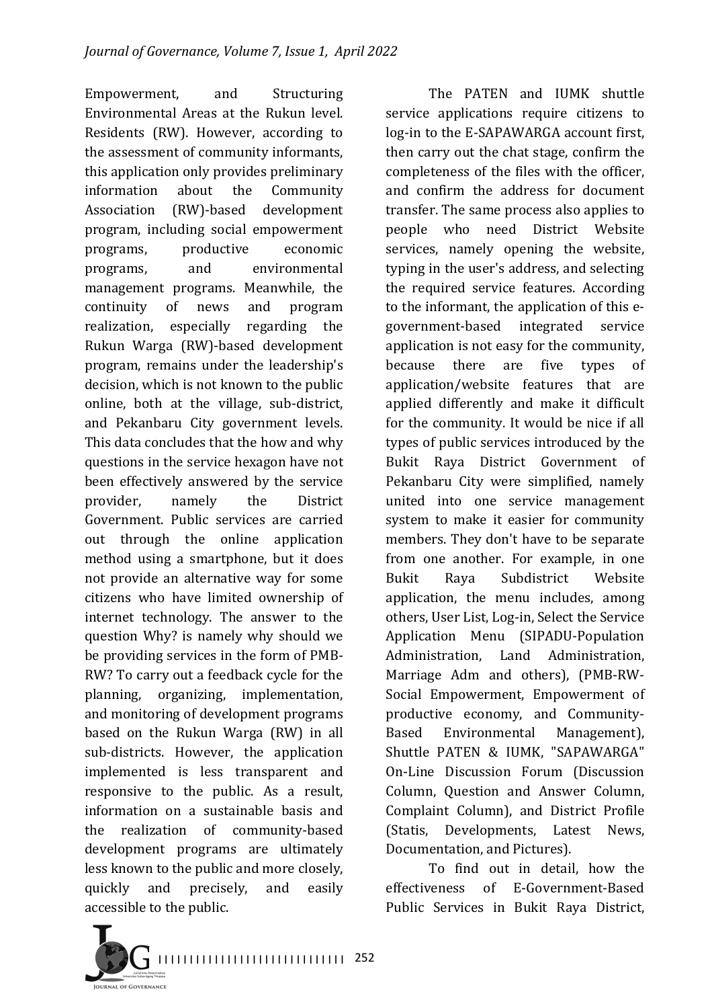Empowerment, and Structuring Environmental Areas at the Rukun level. Residents (RW). However, according to the assessment of community informants, this application only provides preliminary information about the Community Association (RW)-based development program, including social empowerment programs, productive economic programs, and environmental management programs. Meanwhile, the continuity of news and program realization, especially regarding the Rukun Warga (RW)-based development program, remains under the leadership's decision, which is not known to the public online, both at the village, sub-district, and Pekanbaru City government levels. This data concludes that the how and why questions in the service hexagon have not been effectively answered by the service provider, namely the District Government. Public services are carried out through the online application method using a smartphone, but it does not provide an alternative way for some citizens who have limited ownership of internet technology. The answer to the question Why? is namely why should we be providing services in the form of PMB-RW? To carry out a feedback cycle for the planning, organizing, implementation, and monitoring of development programs based on the Rukun Warga (RW) in all sub-districts. However, the application implemented is less transparent and responsive to the public. As a result, information on a sustainable basis and the realization of community-based development programs are ultimately less known to the public and more closely, quickly and precisely, and easily accessible to the public.

The PATEN and IUMK shuttle service applications require citizens to log-in to the E-SAPAWARGA account first, then carry out the chat stage, confirm the completeness of the files with the officer, and confirm the address for document transfer. The same process also applies to people who need District Website services, namely opening the website, typing in the user's address, and selecting the required service features. According to the informant, the application of this egovernment-based integrated service application is not easy for the community, because there are five types of application/website features that are applied differently and make it difficult for the community. It would be nice if all types of public services introduced by the Bukit Raya District Government of Pekanbaru City were simplified, namely united into one service management system to make it easier for community members. They don't have to be separate from one another. For example, in one Bukit Raya Subdistrict Website application, the menu includes, among others, User List, Log-in, Select the Service Application Menu (SIPADU-Population Administration, Land Administration, Marriage Adm and others), (PMB-RW-Social Empowerment, Empowerment of productive economy, and Community-Based Environmental Management), Shuttle PATEN & IUMK, "SAPAWARGA" On-Line Discussion Forum (Discussion Column, Question and Answer Column, Complaint Column), and District Profile (Statis, Developments, Latest News, Documentation, and Pictures).

To find out in detail, how the effectiveness of E-Government-Based Public Services in Bukit Raya District,

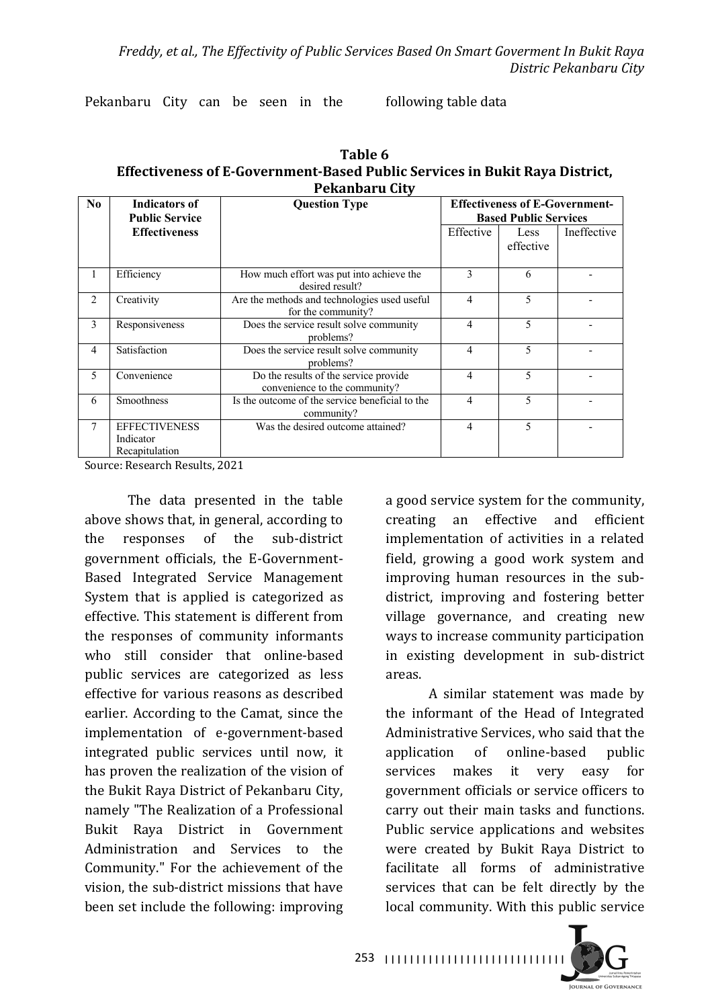Pekanbaru City can be seen in the following table data

| Table 6                                                                     |
|-----------------------------------------------------------------------------|
| Effectiveness of E-Government-Based Public Services in Bukit Raya District, |
| Pekanbaru City                                                              |

| N <sub>0</sub> | <b>Indicators of</b><br><b>Public Service</b>       | <b>Question Type</b>                                                   |                | <b>Effectiveness of E-Government-</b><br><b>Based Public Services</b> |             |  |  |
|----------------|-----------------------------------------------------|------------------------------------------------------------------------|----------------|-----------------------------------------------------------------------|-------------|--|--|
|                | <b>Effectiveness</b>                                |                                                                        | Effective      | <b>Less</b><br>effective                                              | Ineffective |  |  |
| 1              | Efficiency                                          | How much effort was put into achieve the<br>desired result?            | 3              | 6                                                                     |             |  |  |
| $\mathfrak{D}$ | Creativity                                          | Are the methods and technologies used useful<br>for the community?     | $\overline{4}$ | 5                                                                     |             |  |  |
| 3              | Responsiveness                                      | Does the service result solve community<br>problems?                   | $\overline{4}$ | $\overline{\mathbf{5}}$                                               |             |  |  |
| $\overline{4}$ | Satisfaction                                        | Does the service result solve community<br>problems?                   | 4              | 5                                                                     |             |  |  |
| 5              | Convenience                                         | Do the results of the service provide<br>convenience to the community? | 4              | 5                                                                     |             |  |  |
| 6              | Smoothness                                          | Is the outcome of the service beneficial to the<br>community?          | $\overline{4}$ | 5                                                                     |             |  |  |
| 7              | <b>EFFECTIVENESS</b><br>Indicator<br>Recapitulation | Was the desired outcome attained?                                      | $\overline{4}$ | $\overline{\mathbf{5}}$                                               |             |  |  |

Source: Research Results, 2021

The data presented in the table above shows that, in general, according to the responses of the sub-district government officials, the E-Government-Based Integrated Service Management System that is applied is categorized as effective. This statement is different from the responses of community informants who still consider that online-based public services are categorized as less effective for various reasons as described earlier. According to the Camat, since the implementation of e-government-based integrated public services until now, it has proven the realization of the vision of the Bukit Raya District of Pekanbaru City, namely "The Realization of a Professional Bukit Raya District in Government Administration and Services to the Community." For the achievement of the vision, the sub-district missions that have been set include the following: improving

a good service system for the community, creating an effective and efficient implementation of activities in a related field, growing a good work system and improving human resources in the subdistrict, improving and fostering better village governance, and creating new ways to increase community participation in existing development in sub-district areas.

A similar statement was made by the informant of the Head of Integrated Administrative Services, who said that the application of online-based public services makes it very easy for government officials or service officers to carry out their main tasks and functions. Public service applications and websites were created by Bukit Raya District to facilitate all forms of administrative services that can be felt directly by the local community. With this public service



I I I I I I I I I I I I I I I I I I I I I I I I I I I I I 253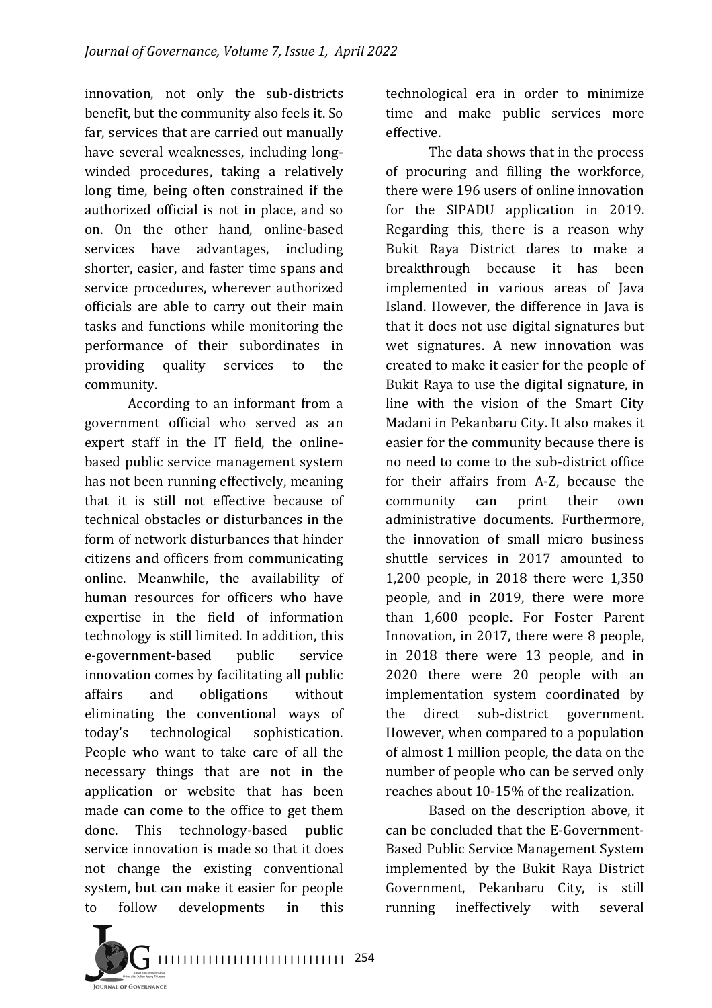innovation, not only the sub-districts benefit, but the community also feels it. So far, services that are carried out manually have several weaknesses, including longwinded procedures, taking a relatively long time, being often constrained if the authorized official is not in place, and so on. On the other hand, online-based services have advantages, including shorter, easier, and faster time spans and service procedures, wherever authorized officials are able to carry out their main tasks and functions while monitoring the performance of their subordinates in providing quality services to the community.

According to an informant from a government official who served as an expert staff in the IT field, the onlinebased public service management system has not been running effectively, meaning that it is still not effective because of technical obstacles or disturbances in the form of network disturbances that hinder citizens and officers from communicating online. Meanwhile, the availability of human resources for officers who have expertise in the field of information technology is still limited. In addition, this e-government-based public service innovation comes by facilitating all public affairs and obligations without eliminating the conventional ways of today's technological sophistication. People who want to take care of all the necessary things that are not in the application or website that has been made can come to the office to get them done. This technology-based public service innovation is made so that it does not change the existing conventional system, but can make it easier for people to follow developments in this 

technological era in order to minimize time and make public services more effective.

The data shows that in the process of procuring and filling the workforce, there were 196 users of online innovation for the SIPADU application in 2019. Regarding this, there is a reason why Bukit Raya District dares to make a breakthrough because it has been implemented in various areas of Java Island. However, the difference in Java is that it does not use digital signatures but wet signatures. A new innovation was created to make it easier for the people of Bukit Raya to use the digital signature, in line with the vision of the Smart City Madani in Pekanbaru City. It also makes it easier for the community because there is no need to come to the sub-district office for their affairs from A-Z, because the community can print their own administrative documents. Furthermore, the innovation of small micro business shuttle services in 2017 amounted to 1,200 people, in 2018 there were 1,350 people, and in 2019, there were more than 1,600 people. For Foster Parent Innovation, in 2017, there were 8 people, in 2018 there were 13 people, and in 2020 there were 20 people with an implementation system coordinated by the direct sub-district government. However, when compared to a population of almost 1 million people, the data on the number of people who can be served only reaches about 10-15% of the realization.

Based on the description above, it can be concluded that the E-Government-Based Public Service Management System implemented by the Bukit Raya District Government, Pekanbaru City, is still running ineffectively with several

I I I I I I I I I I I I I I I I I I I I I I I I I I I I I I 254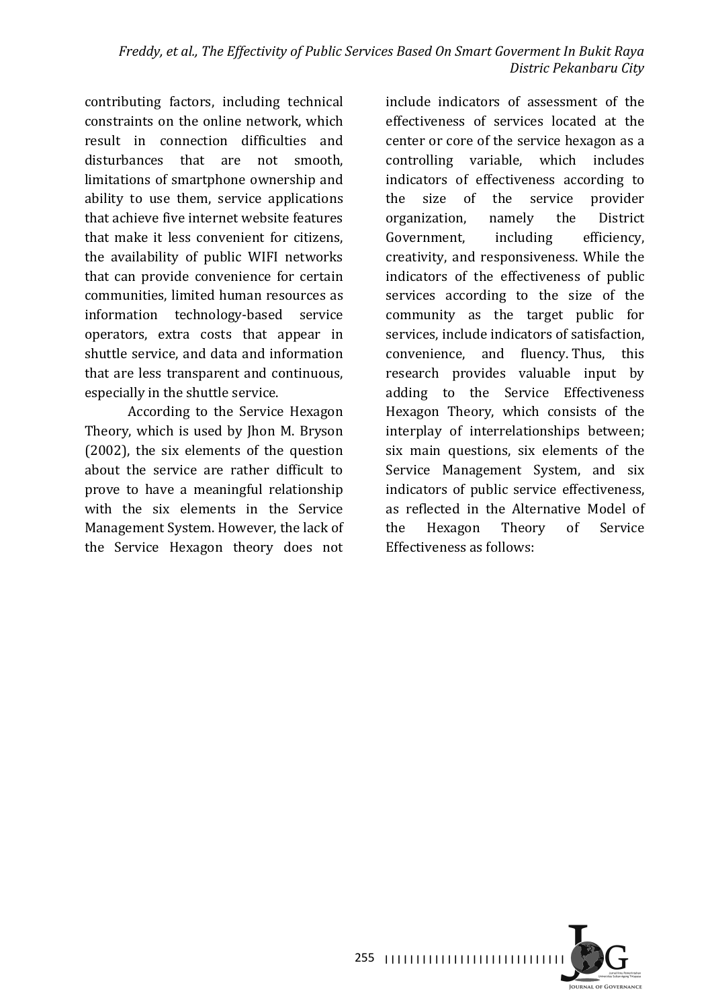contributing factors, including technical constraints on the online network, which result in connection difficulties and disturbances that are not smooth, limitations of smartphone ownership and ability to use them, service applications that achieve five internet website features that make it less convenient for citizens. the availability of public WIFI networks that can provide convenience for certain communities, limited human resources as information technology-based service operators, extra costs that appear in shuttle service, and data and information that are less transparent and continuous, especially in the shuttle service.

According to the Service Hexagon Theory, which is used by Jhon M. Bryson  $(2002)$ , the six elements of the question about the service are rather difficult to prove to have a meaningful relationship with the six elements in the Service Management System. However, the lack of the Service Hexagon theory does not

include indicators of assessment of the effectiveness of services located at the center or core of the service hexagon as a controlling variable, which includes indicators of effectiveness according to the size of the service provider organization, namely the District Government, including efficiency, creativity, and responsiveness. While the indicators of the effectiveness of public services according to the size of the community as the target public for services, include indicators of satisfaction, convenience, and fluency. Thus, this research provides valuable input by adding to the Service Effectiveness Hexagon Theory, which consists of the interplay of interrelationships between; six main questions, six elements of the Service Management System, and six indicators of public service effectiveness, as reflected in the Alternative Model of the Hexagon Theory of Service Effectiveness as follows:

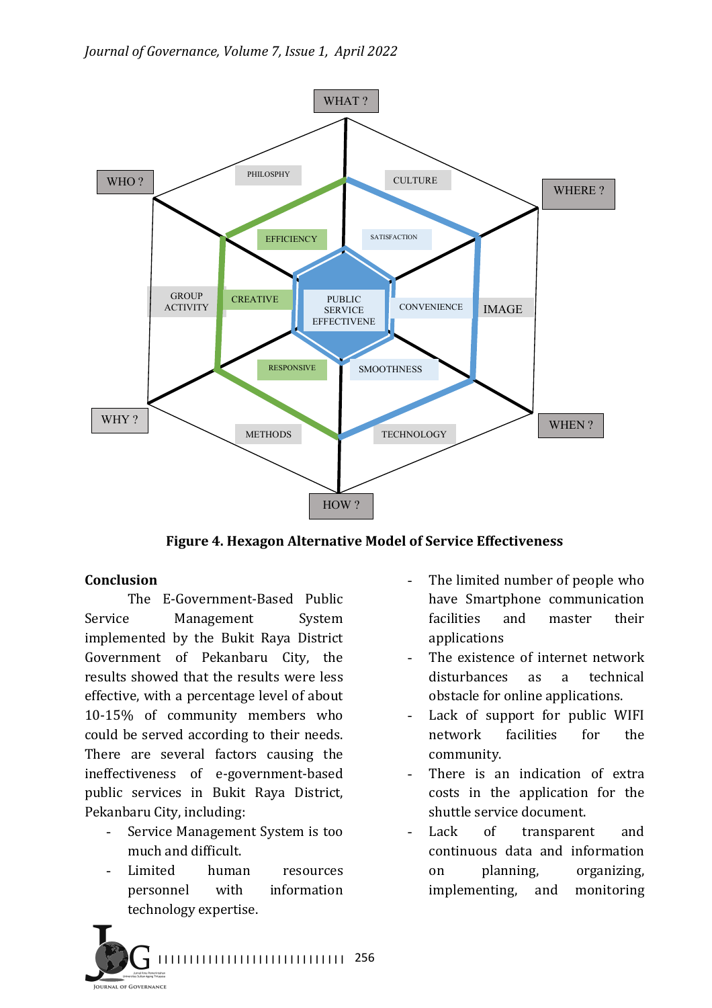

**Figure 4. Hexagon Alternative Model of Service Effectiveness**

#### **Conclusion**

The E-Government-Based Public Service Management System implemented by the Bukit Raya District Government of Pekanbaru City, the results showed that the results were less effective, with a percentage level of about 10-15% of community members who could be served according to their needs. There are several factors causing the ineffectiveness of e-government-based public services in Bukit Raya District, Pekanbaru City, including:

- Service Management System is too much and difficult.
- Limited human resources personnel with information technology expertise.
- The limited number of people who have Smartphone communication facilities and master their applications
- The existence of internet network disturbances as a technical obstacle for online applications.
- Lack of support for public WIFI network facilities for the community.
- There is an indication of extra costs in the application for the shuttle service document.
- Lack of transparent and continuous data and information on planning, organizing, implementing, and monitoring

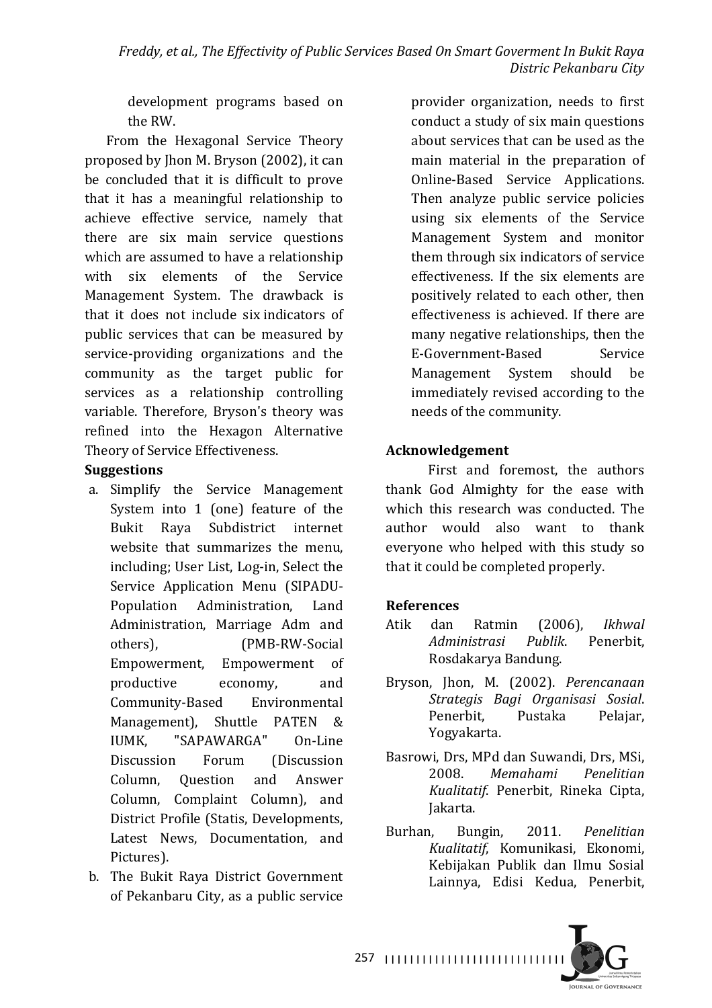development programs based on the RW.

From the Hexagonal Service Theory proposed by Jhon M. Bryson (2002), it can be concluded that it is difficult to prove that it has a meaningful relationship to achieve effective service, namely that there are six main service questions which are assumed to have a relationship with six elements of the Service Management System. The drawback is that it does not include six indicators of public services that can be measured by service-providing organizations and the community as the target public for services as a relationship controlling variable. Therefore, Bryson's theory was refined into the Hexagon Alternative Theory of Service Effectiveness.

# **Suggestions**

- a. Simplify the Service Management System into  $1$  (one) feature of the Bukit Raya Subdistrict internet website that summarizes the menu. including; User List, Log-in, Select the Service Application Menu (SIPADU-Population Administration, Land Administration, Marriage Adm and others), **(PMB-RW-Social** Empowerment, Empowerment of productive economy, and Community-Based Environmental Management), Shuttle PATEN & IUMK, "SAPAWARGA" On-Line Discussion Forum (Discussion Column, Question and Answer Column, Complaint Column), and District Profile (Statis, Developments, Latest News, Documentation, and Pictures).
- b. The Bukit Raya District Government of Pekanbaru City, as a public service

provider organization, needs to first conduct a study of six main questions about services that can be used as the main material in the preparation of Online-Based Service Applications. Then analyze public service policies using six elements of the Service Management System and monitor them through six indicators of service effectiveness. If the six elements are positively related to each other, then effectiveness is achieved. If there are many negative relationships, then the E-Government-Based Service Management System should be immediately revised according to the needs of the community.

# **Acknowledgement**

First and foremost, the authors thank God Almighty for the ease with which this research was conducted. The author would also want to thank everyone who helped with this study so that it could be completed properly.

### **References**

- Atik dan Ratmin (2006), *Ikhwal Administrasi Publik*. Penerbit, Rosdakarya Bandung.
- Bryson, Jhon, M. (2002). Perencanaan *Strategis Bagi Organisasi Sosial*. Penerbit, Pustaka Pelajar, Yogyakarta.
- Basrowi, Drs, MPd dan Suwandi, Drs, MSi, 2008. *Memahami Penelitian Kualitatif*. Penerbit, Rineka Cipta, Jakarta.
- Burhan, Bungin, 2011. *Penelitian Kualitatif*, Komunikasi, Ekonomi, Kebijakan Publik dan Ilmu Sosial Lainnya, Edisi Kedua, Penerbit,



I I I I I I I I I I I I I I I I I I I I I I I I I I I I I 257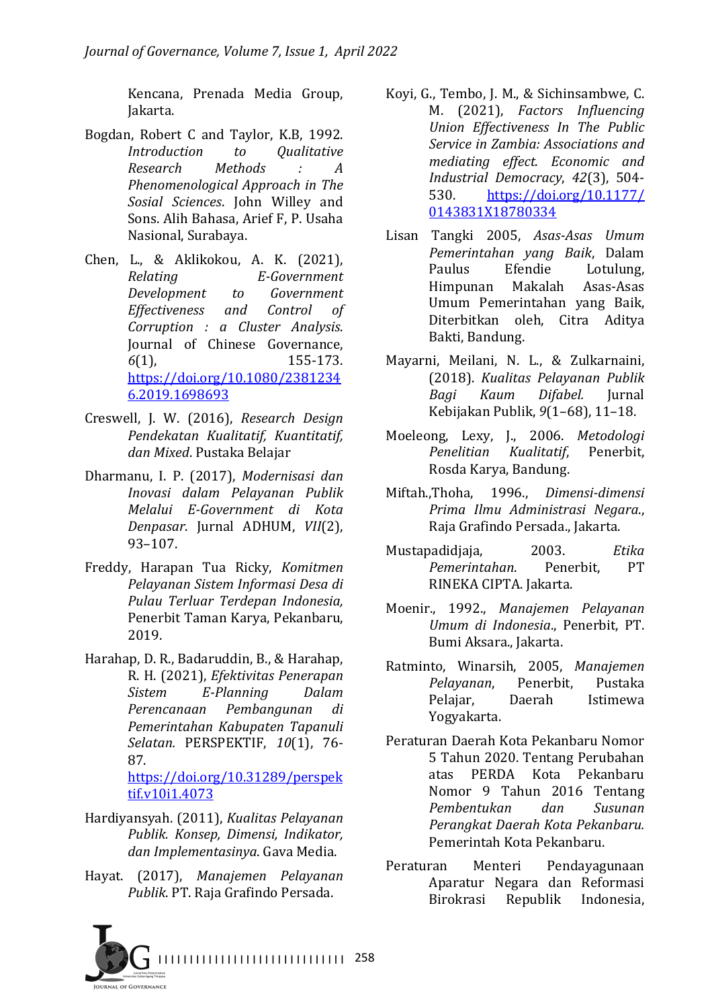Kencana, Prenada Media Group, Jakarta. 

- Bogdan, Robert C and Taylor, K.B, 1992. *Introduction to Qualitative Research Methods : A Phenomenological Approach in The Sosial Sciences*. John Willey and Sons. Alih Bahasa, Arief F. P. Usaha Nasional, Surabaya.
- Chen, L., & Aklikokou, A. K. (2021), *Relating E-Government Development to Government Effectiveness and Control of Corruption : a Cluster Analysis*. Journal of Chinese Governance, *6*(1), 155-173. https://doi.org/10.1080/2381234 6.2019.1698693
- Creswell, J. W. (2016), *Research Design Pendekatan Kualitatif, Kuantitatif, dan Mixed*. Pustaka Belajar
- Dharmanu, I. P. (2017), *Modernisasi dan Inovasi dalam Pelayanan Publik Melalui E-Government di Kota Denpasar*. Jurnal ADHUM, *VII*(2), 93–107.
- Freddy, Harapan Tua Ricky, *Komitmen Pelayanan Sistem Informasi Desa di Pulau Terluar Terdepan Indonesia,*  Penerbit Taman Karya, Pekanbaru, 2019.
- Harahap, D. R., Badaruddin, B., & Harahap, R. H. (2021), *Efektivitas Penerapan Sistem E-Planning Dalam Perencanaan Pembangunan di Pemerintahan Kabupaten Tapanuli Selatan.* PERSPEKTIF, *10*(1), 76- 87.

https://doi.org/10.31289/perspek tif.v10i1.4073

- Hardiyansyah. (2011), *Kualitas Pelayanan Publik. Konsep, Dimensi, Indikator, dan Implementasinya*. Gava Media.
- Hayat. (2017), *Manajemen Pelayanan Publik*. PT. Raja Grafindo Persada.
- Koyi, G., Tembo, J. M., & Sichinsambwe, C. M. (2021), Factors Influencing *Union Effectiveness In The Public*  **Service in Zambia: Associations and** *mediating effect. Economic and Industrial Democracy*, *42*(3), 504- 530. https://doi.org/10.1177/ 0143831X18780334
- Lisan Tangki 2005, *Asas-Asas Umum Pemerintahan yang Baik*, Dalam Paulus Efendie Lotulung, Himpunan Makalah Asas-Asas Umum Pemerintahan yang Baik, Diterbitkan oleh, Citra Aditya Bakti, Bandung.
- Mayarni, Meilani, N. L., & Zulkarnaini, (2018). *Kualitas Pelayanan Publik Bagi Kaum Difabel.* Jurnal Kebijakan Publik, *9*(1–68), 11–18.
- Moeleong, Lexy, J., 2006. *Metodologi Penelitian Kualitatif*, Penerbit, Rosda Karya, Bandung.
- Miftah.,Thoha, 1996., *Dimensi-dimensi Prima Ilmu Administrasi Negara*., Raja Grafindo Persada., Jakarta.
- Mustapadidjaja, 2003. *Etika Pemerintahan*. Penerbit, PT RINEKA CIPTA. Jakarta.
- Moenir., 1992., *Manajemen Pelayanan Umum di Indonesia*., Penerbit, PT. Bumi Aksara., Jakarta.
- Ratminto, Winarsih, 2005, *Manajemen Pelayanan*, Penerbit, Pustaka Pelajar, Daerah Istimewa Yogyakarta.
- Peraturan Daerah Kota Pekanbaru Nomor 5 Tahun 2020. Tentang Perubahan atas PERDA Kota Pekanbaru Nomor 9 Tahun 2016 Tentang *Pembentukan dan Susunan Perangkat Daerah Kota Pekanbaru.*  Pemerintah Kota Pekanbaru.
- Peraturan Menteri Pendayagunaan Aparatur Negara dan Reformasi Birokrasi Republik Indonesia,